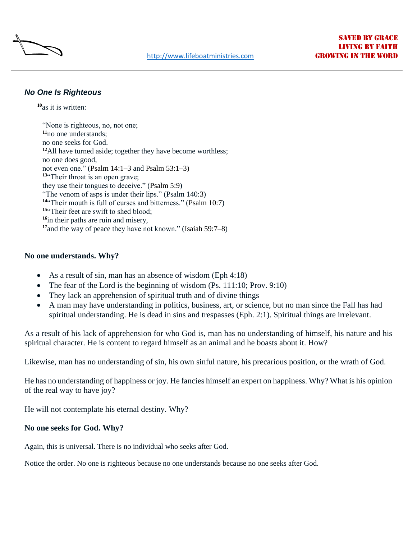

## *No One Is Righteous*

**[10](http://biblehub.com/romans/3-10.htm)**as it is written:

"None is righteous, no, not one; **[11](http://biblehub.com/romans/3-11.htm)**no one understands; no one seeks for God. **[12](http://biblehub.com/romans/3-12.htm)**All have turned aside; together they have become worthless; no one does good, not even one." (Psalm 14:1–3 and [Psalm 53:1–3\)](https://biblehub.com/bsb/psalms/53.htm) **[13](http://biblehub.com/romans/3-13.htm)**"Their throat is an open grave; they use their tongues to deceive." [\(Psalm 5:9\)](https://biblehub.com/bsb/psalms/5.htm#9) "The venom of asps is under their lips." (Psalm 140[:3\)](https://biblehub.com/bsb/psalms/5.htm#9) **[14](http://biblehub.com/romans/3-14.htm)**"Their mouth is full of curses and bitterness." [\(Psalm 10:7\)](https://biblehub.com/bsb/psalms/10.htm#7) <sup>[15](http://biblehub.com/romans/3-15.htm)"</sup>Their feet are swift to shed blood: **[16](http://biblehub.com/romans/3-16.htm)**in their paths are ruin and misery, **[17](http://biblehub.com/romans/3-17.htm)**and the way of peace they have not known." [\(Isaiah 59:7–8\)](https://biblehub.com/bsb/isaiah/59.htm#7)

## **No one understands. Why?**

- As a result of sin, man has an absence of wisdom (Eph 4:18)
- The fear of the Lord is the beginning of wisdom  $(Ps. 111:10; Prov. 9:10)$
- They lack an apprehension of spiritual truth and of divine things
- A man may have understanding in politics, business, art, or science, but no man since the Fall has had spiritual understanding. He is dead in sins and trespasses (Eph. 2:1). Spiritual things are irrelevant.

As a result of his lack of apprehension for who God is, man has no understanding of himself, his nature and his spiritual character. He is content to regard himself as an animal and he boasts about it. How?

Likewise, man has no understanding of sin, his own sinful nature, his precarious position, or the wrath of God.

He has no understanding of happiness or joy. He fancies himself an expert on happiness. Why? What is his opinion of the real way to have joy?

He will not contemplate his eternal destiny. Why?

## **No one seeks for God. Why?**

Again, this is universal. There is no individual who seeks after God.

Notice the order. No one is righteous because no one understands because no one seeks after God.